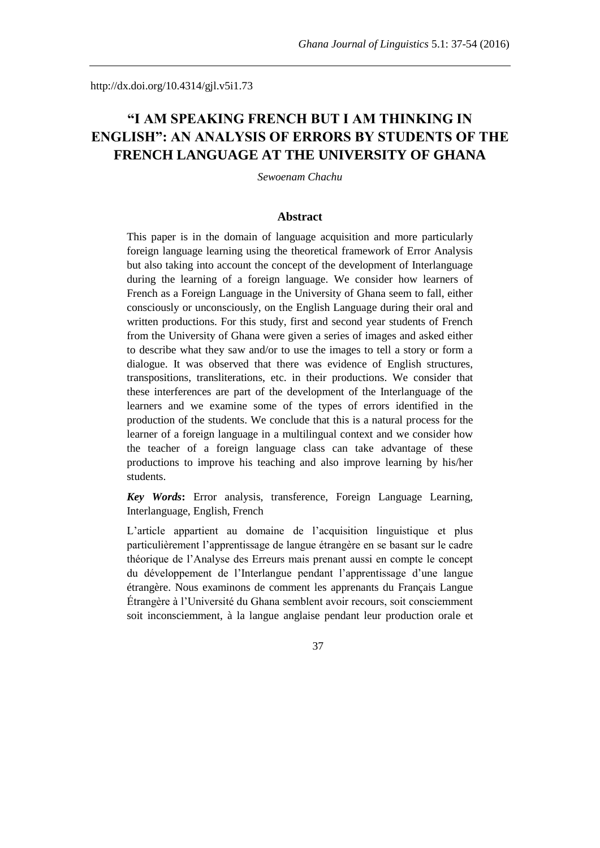# **"I AM SPEAKING FRENCH BUT I AM THINKING IN ENGLISH": AN ANALYSIS OF ERRORS BY STUDENTS OF THE FRENCH LANGUAGE AT THE UNIVERSITY OF GHANA**

*Sewoenam Chachu*

#### **Abstract**

This paper is in the domain of language acquisition and more particularly foreign language learning using the theoretical framework of Error Analysis but also taking into account the concept of the development of Interlanguage during the learning of a foreign language. We consider how learners of French as a Foreign Language in the University of Ghana seem to fall, either consciously or unconsciously, on the English Language during their oral and written productions. For this study, first and second year students of French from the University of Ghana were given a series of images and asked either to describe what they saw and/or to use the images to tell a story or form a dialogue. It was observed that there was evidence of English structures, transpositions, transliterations, etc. in their productions. We consider that these interferences are part of the development of the Interlanguage of the learners and we examine some of the types of errors identified in the production of the students. We conclude that this is a natural process for the learner of a foreign language in a multilingual context and we consider how the teacher of a foreign language class can take advantage of these productions to improve his teaching and also improve learning by his/her students.

*Key Words***:** Error analysis, transference, Foreign Language Learning, Interlanguage, English, French

L'article appartient au domaine de l'acquisition linguistique et plus particulièrement l'apprentissage de langue étrangère en se basant sur le cadre théorique de l'Analyse des Erreurs mais prenant aussi en compte le concept du développement de l'Interlangue pendant l'apprentissage d'une langue étrangère. Nous examinons de comment les apprenants du Français Langue Étrangère à l'Université du Ghana semblent avoir recours, soit consciemment soit inconsciemment, à la langue anglaise pendant leur production orale et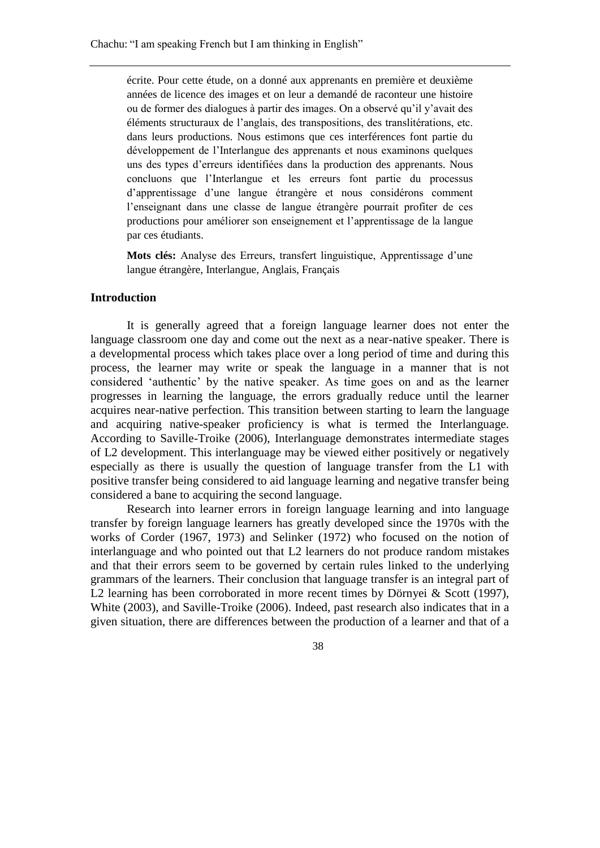écrite. Pour cette étude, on a donné aux apprenants en première et deuxième années de licence des images et on leur a demandé de raconteur une histoire ou de former des dialogues à partir des images. On a observé qu'il y'avait des éléments structuraux de l'anglais, des transpositions, des translitérations, etc. dans leurs productions. Nous estimons que ces interférences font partie du développement de l'Interlangue des apprenants et nous examinons quelques uns des types d'erreurs identifiées dans la production des apprenants. Nous concluons que l'Interlangue et les erreurs font partie du processus d'apprentissage d'une langue étrangère et nous considérons comment l'enseignant dans une classe de langue étrangère pourrait profiter de ces productions pour améliorer son enseignement et l'apprentissage de la langue par ces étudiants.

**Mots clés:** Analyse des Erreurs, transfert linguistique, Apprentissage d'une langue étrangère, Interlangue, Anglais, Français

### **Introduction**

It is generally agreed that a foreign language learner does not enter the language classroom one day and come out the next as a near-native speaker. There is a developmental process which takes place over a long period of time and during this process, the learner may write or speak the language in a manner that is not considered 'authentic' by the native speaker. As time goes on and as the learner progresses in learning the language, the errors gradually reduce until the learner acquires near-native perfection. This transition between starting to learn the language and acquiring native-speaker proficiency is what is termed the Interlanguage. According to Saville-Troike (2006), Interlanguage demonstrates intermediate stages of L2 development. This interlanguage may be viewed either positively or negatively especially as there is usually the question of language transfer from the L1 with positive transfer being considered to aid language learning and negative transfer being considered a bane to acquiring the second language.

Research into learner errors in foreign language learning and into language transfer by foreign language learners has greatly developed since the 1970s with the works of Corder (1967, 1973) and Selinker (1972) who focused on the notion of interlanguage and who pointed out that L2 learners do not produce random mistakes and that their errors seem to be governed by certain rules linked to the underlying grammars of the learners. Their conclusion that language transfer is an integral part of L2 learning has been corroborated in more recent times by Dörnyei & Scott (1997), White (2003), and Saville-Troike (2006). Indeed, past research also indicates that in a given situation, there are differences between the production of a learner and that of a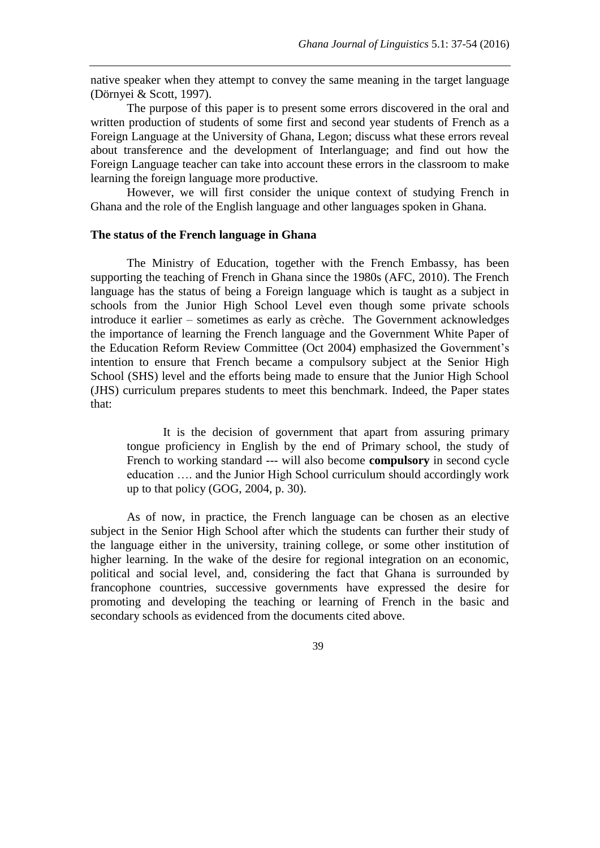native speaker when they attempt to convey the same meaning in the target language (Dörnyei & Scott, 1997).

The purpose of this paper is to present some errors discovered in the oral and written production of students of some first and second year students of French as a Foreign Language at the University of Ghana, Legon; discuss what these errors reveal about transference and the development of Interlanguage; and find out how the Foreign Language teacher can take into account these errors in the classroom to make learning the foreign language more productive.

However, we will first consider the unique context of studying French in Ghana and the role of the English language and other languages spoken in Ghana.

#### **The status of the French language in Ghana**

The Ministry of Education, together with the French Embassy, has been supporting the teaching of French in Ghana since the 1980s (AFC, 2010). The French language has the status of being a Foreign language which is taught as a subject in schools from the Junior High School Level even though some private schools introduce it earlier – sometimes as early as crèche. The Government acknowledges the importance of learning the French language and the Government White Paper of the Education Reform Review Committee (Oct 2004) emphasized the Government's intention to ensure that French became a compulsory subject at the Senior High School (SHS) level and the efforts being made to ensure that the Junior High School (JHS) curriculum prepares students to meet this benchmark. Indeed, the Paper states that:

It is the decision of government that apart from assuring primary tongue proficiency in English by the end of Primary school, the study of French to working standard --- will also become **compulsory** in second cycle education …. and the Junior High School curriculum should accordingly work up to that policy (GOG, 2004, p. 30).

As of now, in practice, the French language can be chosen as an elective subject in the Senior High School after which the students can further their study of the language either in the university, training college, or some other institution of higher learning. In the wake of the desire for regional integration on an economic, political and social level, and, considering the fact that Ghana is surrounded by francophone countries, successive governments have expressed the desire for promoting and developing the teaching or learning of French in the basic and secondary schools as evidenced from the documents cited above.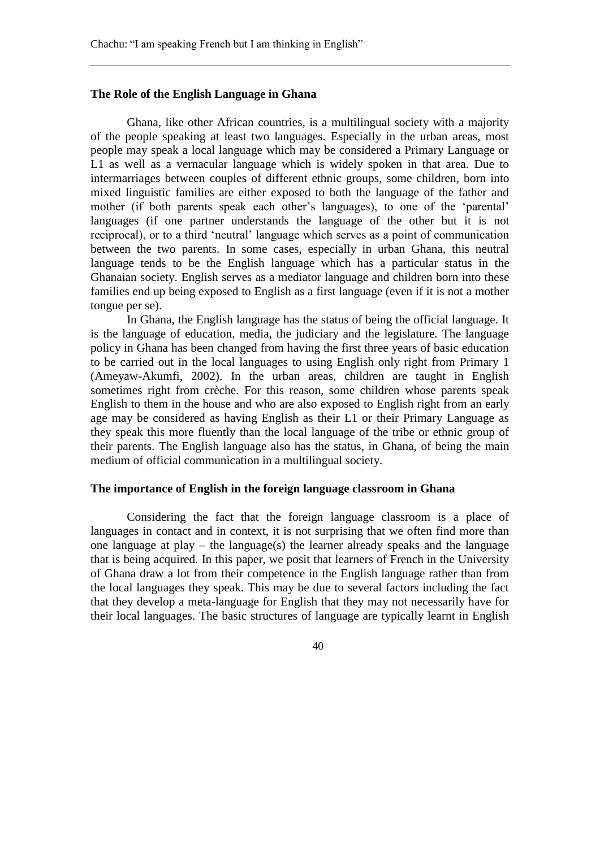### **The Role of the English Language in Ghana**

Ghana, like other African countries, is a multilingual society with a majority of the people speaking at least two languages. Especially in the urban areas, most people may speak a local language which may be considered a Primary Language or L1 as well as a vernacular language which is widely spoken in that area. Due to intermarriages between couples of different ethnic groups, some children, born into mixed linguistic families are either exposed to both the language of the father and mother (if both parents speak each other's languages), to one of the 'parental' languages (if one partner understands the language of the other but it is not reciprocal), or to a third 'neutral' language which serves as a point of communication between the two parents. In some cases, especially in urban Ghana, this neutral language tends to be the English language which has a particular status in the Ghanaian society. English serves as a mediator language and children born into these families end up being exposed to English as a first language (even if it is not a mother tongue per se).

In Ghana, the English language has the status of being the official language. It is the language of education, media, the judiciary and the legislature. The language policy in Ghana has been changed from having the first three years of basic education to be carried out in the local languages to using English only right from Primary 1 (Ameyaw-Akumfi, 2002). In the urban areas, children are taught in English sometimes right from crèche. For this reason, some children whose parents speak English to them in the house and who are also exposed to English right from an early age may be considered as having English as their L1 or their Primary Language as they speak this more fluently than the local language of the tribe or ethnic group of their parents. The English language also has the status, in Ghana, of being the main medium of official communication in a multilingual society.

### **The importance of English in the foreign language classroom in Ghana**

Considering the fact that the foreign language classroom is a place of languages in contact and in context, it is not surprising that we often find more than one language at play – the language(s) the learner already speaks and the language that is being acquired. In this paper, we posit that learners of French in the University of Ghana draw a lot from their competence in the English language rather than from the local languages they speak. This may be due to several factors including the fact that they develop a meta-language for English that they may not necessarily have for their local languages. The basic structures of language are typically learnt in English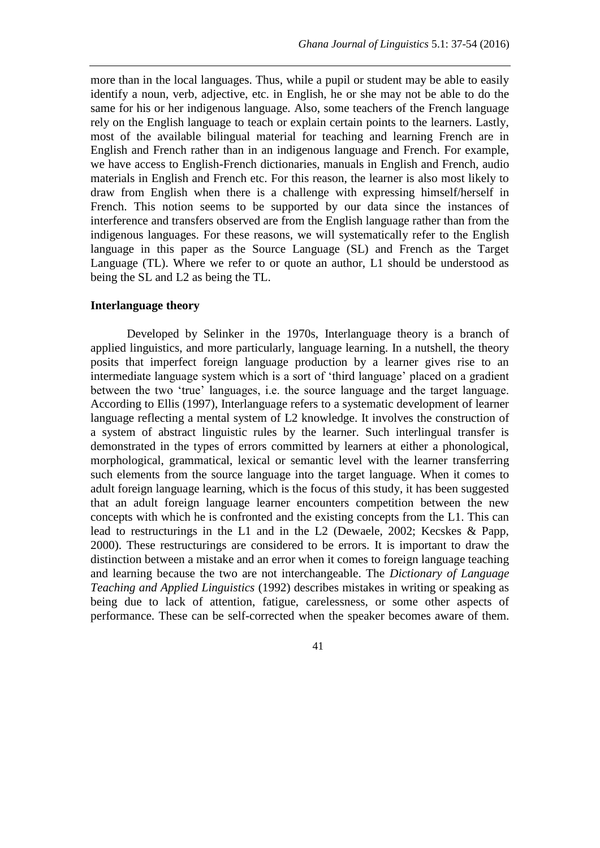more than in the local languages. Thus, while a pupil or student may be able to easily identify a noun, verb, adjective, etc. in English, he or she may not be able to do the same for his or her indigenous language. Also, some teachers of the French language rely on the English language to teach or explain certain points to the learners. Lastly, most of the available bilingual material for teaching and learning French are in English and French rather than in an indigenous language and French. For example, we have access to English-French dictionaries, manuals in English and French, audio materials in English and French etc. For this reason, the learner is also most likely to draw from English when there is a challenge with expressing himself/herself in French. This notion seems to be supported by our data since the instances of interference and transfers observed are from the English language rather than from the indigenous languages. For these reasons, we will systematically refer to the English language in this paper as the Source Language (SL) and French as the Target Language (TL). Where we refer to or quote an author, L1 should be understood as being the SL and L2 as being the TL.

#### **Interlanguage theory**

Developed by Selinker in the 1970s, Interlanguage theory is a branch of applied linguistics, and more particularly, language learning. In a nutshell, the theory posits that imperfect foreign language production by a learner gives rise to an intermediate language system which is a sort of 'third language' placed on a gradient between the two 'true' languages, i.e. the source language and the target language. According to Ellis (1997), Interlanguage refers to a systematic development of learner language reflecting a mental system of L2 knowledge. It involves the construction of a system of abstract linguistic rules by the learner. Such interlingual transfer is demonstrated in the types of errors committed by learners at either a phonological, morphological, grammatical, lexical or semantic level with the learner transferring such elements from the source language into the target language. When it comes to adult foreign language learning, which is the focus of this study, it has been suggested that an adult foreign language learner encounters competition between the new concepts with which he is confronted and the existing concepts from the L1. This can lead to restructurings in the L1 and in the L2 (Dewaele, 2002; Kecskes & Papp, 2000). These restructurings are considered to be errors. It is important to draw the distinction between a mistake and an error when it comes to foreign language teaching and learning because the two are not interchangeable. The *Dictionary of Language Teaching and Applied Linguistics* (1992) describes mistakes in writing or speaking as being due to lack of attention, fatigue, carelessness, or some other aspects of performance. These can be self-corrected when the speaker becomes aware of them.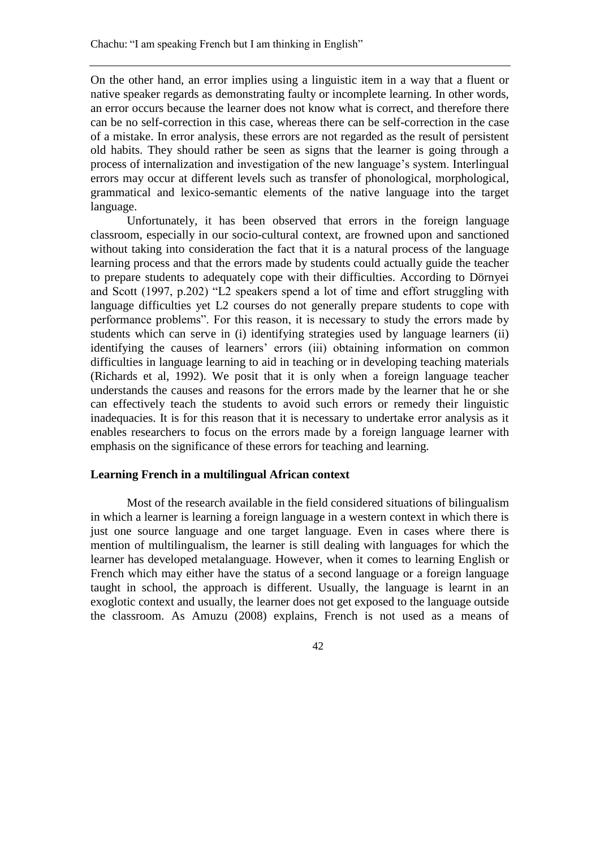On the other hand, an error implies using a linguistic item in a way that a fluent or native speaker regards as demonstrating faulty or incomplete learning. In other words, an error occurs because the learner does not know what is correct, and therefore there can be no self-correction in this case, whereas there can be self-correction in the case of a mistake. In error analysis, these errors are not regarded as the result of persistent old habits. They should rather be seen as signs that the learner is going through a process of internalization and investigation of the new language's system. Interlingual errors may occur at different levels such as transfer of phonological, morphological, grammatical and lexico-semantic elements of the native language into the target language.

Unfortunately, it has been observed that errors in the foreign language classroom, especially in our socio-cultural context, are frowned upon and sanctioned without taking into consideration the fact that it is a natural process of the language learning process and that the errors made by students could actually guide the teacher to prepare students to adequately cope with their difficulties. According to Dörnyei and Scott (1997, p.202) "L2 speakers spend a lot of time and effort struggling with language difficulties yet L2 courses do not generally prepare students to cope with performance problems". For this reason, it is necessary to study the errors made by students which can serve in (i) identifying strategies used by language learners (ii) identifying the causes of learners' errors (iii) obtaining information on common difficulties in language learning to aid in teaching or in developing teaching materials (Richards et al, 1992). We posit that it is only when a foreign language teacher understands the causes and reasons for the errors made by the learner that he or she can effectively teach the students to avoid such errors or remedy their linguistic inadequacies. It is for this reason that it is necessary to undertake error analysis as it enables researchers to focus on the errors made by a foreign language learner with emphasis on the significance of these errors for teaching and learning.

### **Learning French in a multilingual African context**

Most of the research available in the field considered situations of bilingualism in which a learner is learning a foreign language in a western context in which there is just one source language and one target language. Even in cases where there is mention of multilingualism, the learner is still dealing with languages for which the learner has developed metalanguage. However, when it comes to learning English or French which may either have the status of a second language or a foreign language taught in school, the approach is different. Usually, the language is learnt in an exoglotic context and usually, the learner does not get exposed to the language outside the classroom. As Amuzu (2008) explains, French is not used as a means of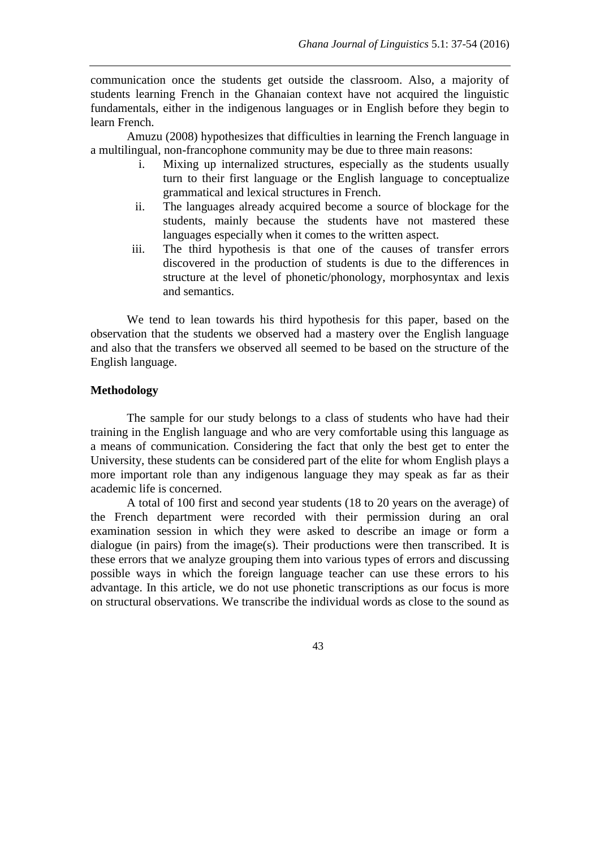communication once the students get outside the classroom. Also, a majority of students learning French in the Ghanaian context have not acquired the linguistic fundamentals, either in the indigenous languages or in English before they begin to learn French.

Amuzu (2008) hypothesizes that difficulties in learning the French language in a multilingual, non-francophone community may be due to three main reasons:

- i. Mixing up internalized structures, especially as the students usually turn to their first language or the English language to conceptualize grammatical and lexical structures in French.
- ii. The languages already acquired become a source of blockage for the students, mainly because the students have not mastered these languages especially when it comes to the written aspect.
- iii. The third hypothesis is that one of the causes of transfer errors discovered in the production of students is due to the differences in structure at the level of phonetic/phonology, morphosyntax and lexis and semantics.

We tend to lean towards his third hypothesis for this paper, based on the observation that the students we observed had a mastery over the English language and also that the transfers we observed all seemed to be based on the structure of the English language.

### **Methodology**

The sample for our study belongs to a class of students who have had their training in the English language and who are very comfortable using this language as a means of communication. Considering the fact that only the best get to enter the University, these students can be considered part of the elite for whom English plays a more important role than any indigenous language they may speak as far as their academic life is concerned.

A total of 100 first and second year students (18 to 20 years on the average) of the French department were recorded with their permission during an oral examination session in which they were asked to describe an image or form a dialogue (in pairs) from the image(s). Their productions were then transcribed. It is these errors that we analyze grouping them into various types of errors and discussing possible ways in which the foreign language teacher can use these errors to his advantage. In this article, we do not use phonetic transcriptions as our focus is more on structural observations. We transcribe the individual words as close to the sound as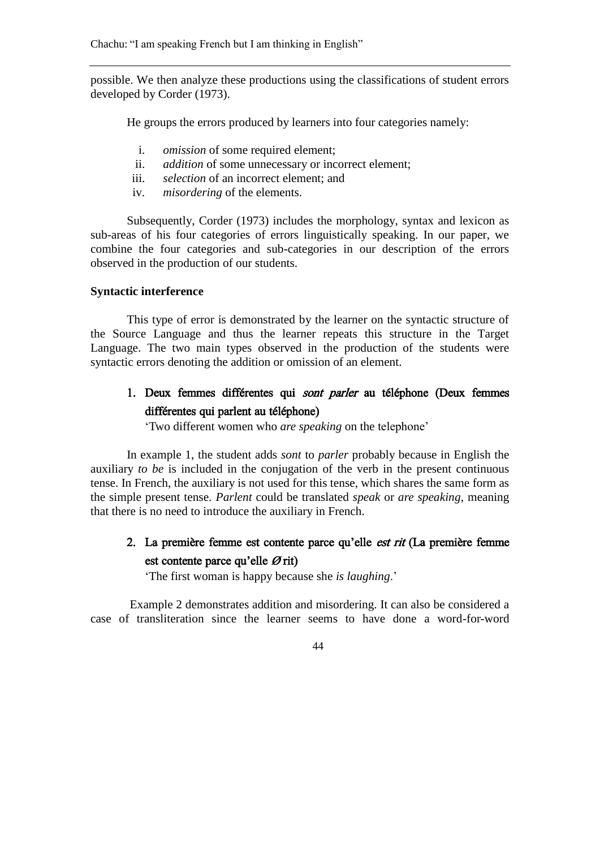possible. We then analyze these productions using the classifications of student errors developed by Corder (1973).

He groups the errors produced by learners into four categories namely:

- i. *omission* of some required element;
- ii. *addition* of some unnecessary or incorrect element;
- iii. *selection* of an incorrect element; and
- iv. *misordering* of the elements.

Subsequently, Corder (1973) includes the morphology, syntax and lexicon as sub-areas of his four categories of errors linguistically speaking. In our paper, we combine the four categories and sub-categories in our description of the errors observed in the production of our students.

### **Syntactic interference**

This type of error is demonstrated by the learner on the syntactic structure of the Source Language and thus the learner repeats this structure in the Target Language. The two main types observed in the production of the students were syntactic errors denoting the addition or omission of an element.

# 1. Deux femmes différentes qui sont parler au téléphone (Deux femmes différentes qui parlent au téléphone)

'Two different women who *are speaking* on the telephone'

In example 1, the student adds *sont* to *parler* probably because in English the auxiliary *to be* is included in the conjugation of the verb in the present continuous tense. In French, the auxiliary is not used for this tense, which shares the same form as the simple present tense. *Parlent* could be translated *speak* or *are speaking*, meaning that there is no need to introduce the auxiliary in French.

## 2. La première femme est contente parce qu'elle est rit (La première femme est contente parce qu'elle  $\emptyset$  rit)

'The first woman is happy because she *is laughing*.'

Example 2 demonstrates addition and misordering. It can also be considered a case of transliteration since the learner seems to have done a word-for-word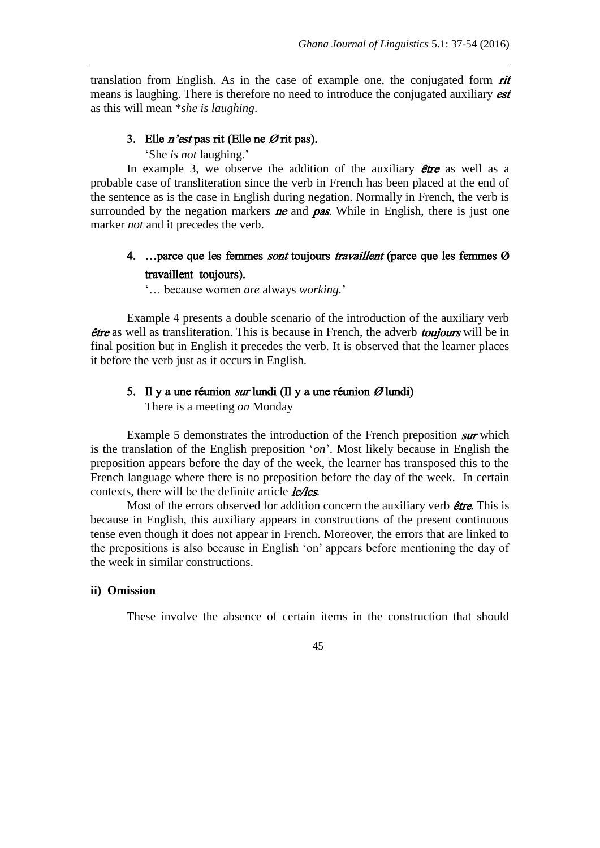translation from English. As in the case of example one, the conjugated form  $\pi i t$ means is laughing. There is therefore no need to introduce the conjugated auxiliary **est** as this will mean \**she is laughing*.

## 3. Elle *n'est* pas rit (Elle ne  $\emptyset$  rit pas).

'She *is not* laughing.'

In example 3, we observe the addition of the auxiliary  $\hat{e}$  as well as a probable case of transliteration since the verb in French has been placed at the end of the sentence as is the case in English during negation. Normally in French, the verb is surrounded by the negation markers **ne** and **pas**. While in English, there is just one marker *not* and it precedes the verb.

## 4. …parce que les femmes *sont* toujours *travaillent* (parce que les femmes Ø travaillent toujours).

'… because women *are* always *working.*'

Example 4 presents a double scenario of the introduction of the auxiliary verb **être** as well as transliteration. This is because in French, the adverb *toujours* will be in final position but in English it precedes the verb. It is observed that the learner places it before the verb just as it occurs in English.

## 5. Il y a une réunion *sur* lundi (Il y a une réunion  $\emptyset$  lundi)

There is a meeting *on* Monday

Example 5 demonstrates the introduction of the French preposition sur which is the translation of the English preposition '*on*'. Most likely because in English the preposition appears before the day of the week, the learner has transposed this to the French language where there is no preposition before the day of the week. In certain contexts, there will be the definite article le/les.

Most of the errors observed for addition concern the auxiliary verb  $\hat{\epsilon}$  *tre*. This is because in English, this auxiliary appears in constructions of the present continuous tense even though it does not appear in French. Moreover, the errors that are linked to the prepositions is also because in English 'on' appears before mentioning the day of the week in similar constructions.

### **ii) Omission**

These involve the absence of certain items in the construction that should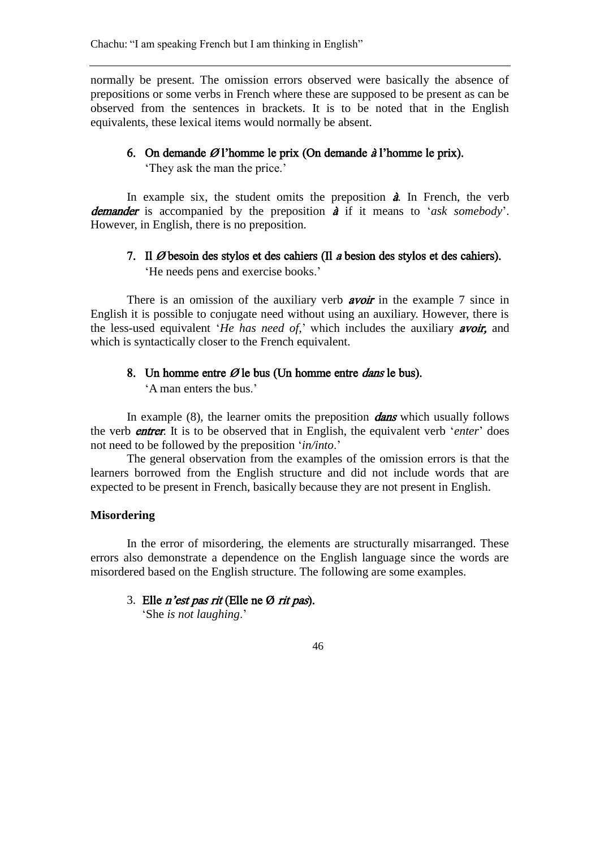normally be present. The omission errors observed were basically the absence of prepositions or some verbs in French where these are supposed to be present as can be observed from the sentences in brackets. It is to be noted that in the English equivalents, these lexical items would normally be absent.

### 6. On demande Ø l'homme le prix (On demande à l'homme le prix).

'They ask the man the price.'

In example six, the student omits the preposition  $\dot{a}$ . In French, the verb demander is accompanied by the preposition à if it means to '*ask somebody*'. However, in English, there is no preposition.

## 7. Il Ø besoin des stylos et des cahiers (Il a besion des stylos et des cahiers).

'He needs pens and exercise books.'

There is an omission of the auxiliary verb **avoir** in the example 7 since in English it is possible to conjugate need without using an auxiliary. However, there is the less-used equivalent '*He has need of*,' which includes the auxiliary **avoir**, and which is syntactically closer to the French equivalent.

## 8. Un homme entre  $\emptyset$  le bus (Un homme entre *dans* le bus).

'A man enters the bus.'

In example  $(8)$ , the learner omits the preposition **dans** which usually follows the verb entrer. It is to be observed that in English, the equivalent verb '*enter*' does not need to be followed by the preposition '*in/into*.'

The general observation from the examples of the omission errors is that the learners borrowed from the English structure and did not include words that are expected to be present in French, basically because they are not present in English.

## **Misordering**

In the error of misordering, the elements are structurally misarranged. These errors also demonstrate a dependence on the English language since the words are misordered based on the English structure. The following are some examples.

## 3. Elle *n'est pas rit* (Elle ne  $\emptyset$  *rit pas*).

'She *is not laughing*.'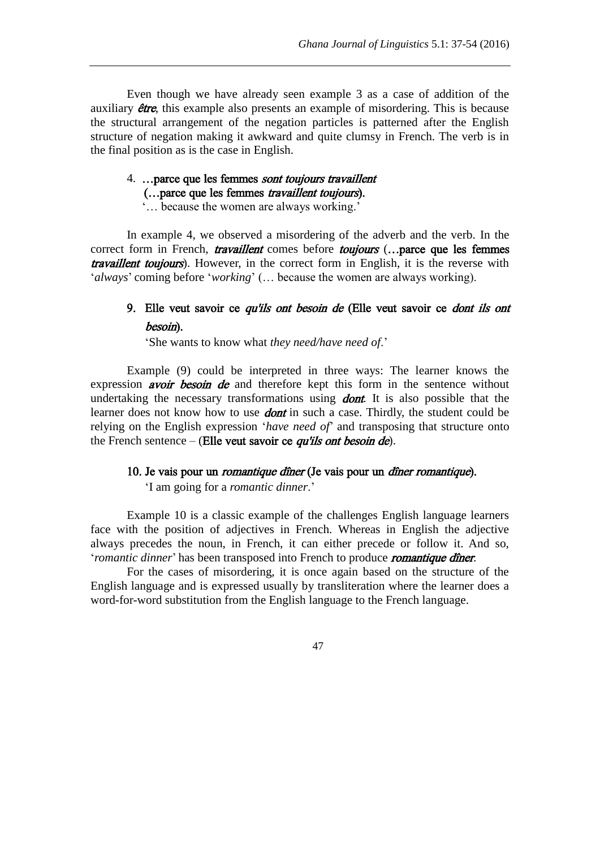Even though we have already seen example 3 as a case of addition of the auxiliary  $\hat{e}$  the example also presents an example of misordering. This is because the structural arrangement of the negation particles is patterned after the English structure of negation making it awkward and quite clumsy in French. The verb is in the final position as is the case in English.

## 4. …parce que les femmes sont toujours travaillent (…parce que les femmes travaillent toujours). '… because the women are always working.'

In example 4, we observed a misordering of the adverb and the verb. In the correct form in French, *travaillent* comes before *toujours* (... parce que les femmes **travaillent toujours**). However, in the correct form in English, it is the reverse with '*always*' coming before '*working*' (… because the women are always working).

## 9. Elle veut savoir ce qu'ils ont besoin de (Elle veut savoir ce dont ils ont besoin).

'She wants to know what *they need/have need of*.'

Example (9) could be interpreted in three ways: The learner knows the expression *avoir besoin de* and therefore kept this form in the sentence without undertaking the necessary transformations using *dont*. It is also possible that the learner does not know how to use **dont** in such a case. Thirdly, the student could be relying on the English expression '*have need of*' and transposing that structure onto the French sentence – (Elle veut savoir ce *qu'ils ont besoin de*).

## 10. Je vais pour un romantique dîner (Je vais pour un dîner romantique).

'I am going for a *romantic dinner*.'

Example 10 is a classic example of the challenges English language learners face with the position of adjectives in French. Whereas in English the adjective always precedes the noun, in French, it can either precede or follow it. And so, '*romantic dinner*' has been transposed into French to produce romantique dîner.

For the cases of misordering, it is once again based on the structure of the English language and is expressed usually by transliteration where the learner does a word-for-word substitution from the English language to the French language.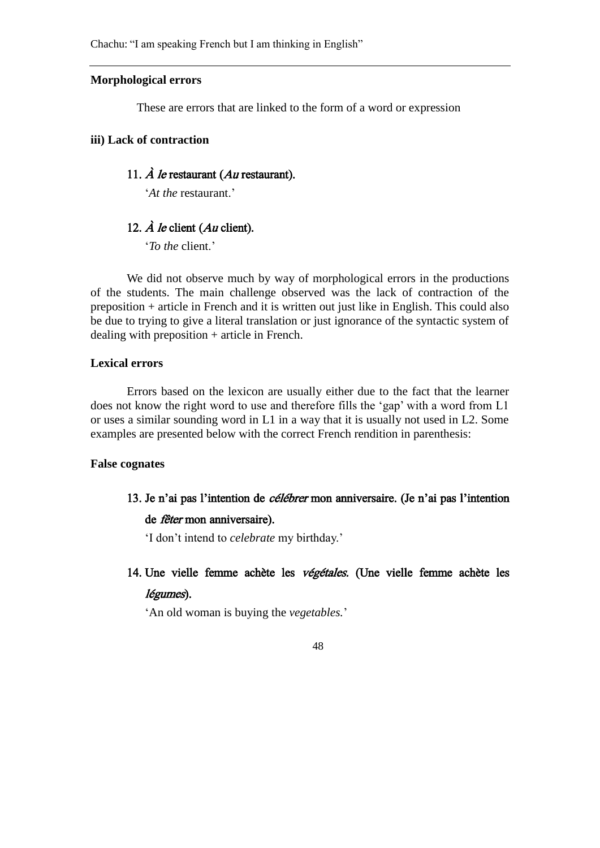### **Morphological errors**

These are errors that are linked to the form of a word or expression

## **iii) Lack of contraction**

## 11.  $\hat{A}$  le restaurant (Au restaurant).

'*At the* restaurant.'

## 12.  $\hat{A}$  le client (Au client).

'*To the* client.'

We did not observe much by way of morphological errors in the productions of the students. The main challenge observed was the lack of contraction of the preposition + article in French and it is written out just like in English. This could also be due to trying to give a literal translation or just ignorance of the syntactic system of dealing with preposition + article in French.

### **Lexical errors**

Errors based on the lexicon are usually either due to the fact that the learner does not know the right word to use and therefore fills the 'gap' with a word from L1 or uses a similar sounding word in L1 in a way that it is usually not used in L2. Some examples are presented below with the correct French rendition in parenthesis:

### **False cognates**

# 13. Je n'ai pas l'intention de célébrer mon anniversaire. (Je n'ai pas l'intention

## de fêter mon anniversaire).

'I don't intend to *celebrate* my birthday.'

14. Une vielle femme achète les végétales. (Une vielle femme achète les légumes).

'An old woman is buying the *vegetables.*'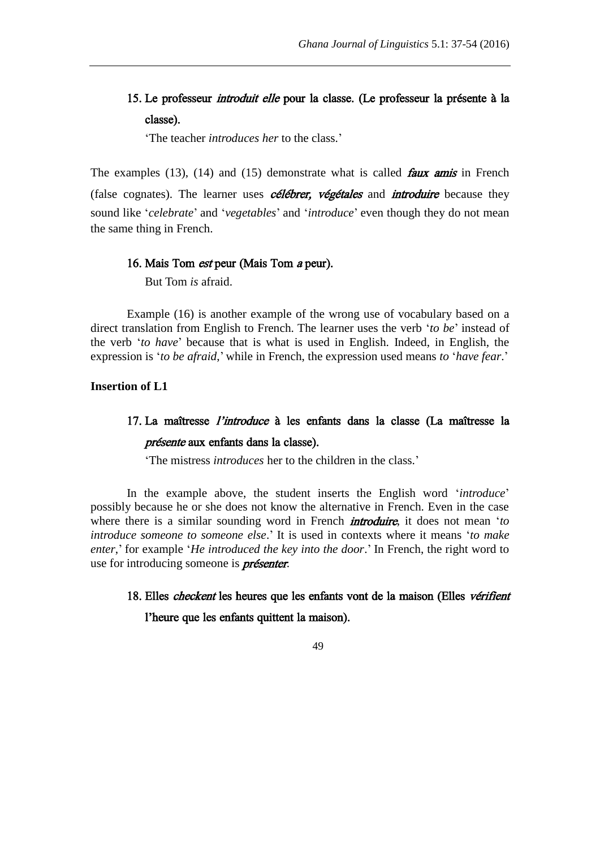# 15. Le professeur introduit elle pour la classe. (Le professeur la présente à la classe).

'The teacher *introduces her* to the class.'

The examples (13), (14) and (15) demonstrate what is called **faux amis** in French (false cognates). The learner uses *célébrer*, *végétales* and *introduire* because they sound like '*celebrate*' and '*vegetables*' and '*introduce*' even though they do not mean the same thing in French.

#### 16. Mais Tom est peur (Mais Tom a peur).

But Tom *is* afraid.

Example (16) is another example of the wrong use of vocabulary based on a direct translation from English to French. The learner uses the verb '*to be*' instead of the verb '*to have*' because that is what is used in English. Indeed, in English, the expression is '*to be afraid*,' while in French, the expression used means *to* '*have fear*.'

**Insertion of L1**

# 17. La maîtresse l'introduce à les enfants dans la classe (La maîtresse la présente aux enfants dans la classe).

'The mistress *introduces* her to the children in the class.'

In the example above, the student inserts the English word '*introduce*' possibly because he or she does not know the alternative in French. Even in the case where there is a similar sounding word in French introduire, it does not mean '*to introduce someone to someone else*.' It is used in contexts where it means '*to make enter*,' for example '*He introduced the key into the door*.' In French, the right word to use for introducing someone is *présenter*.

18. Elles *checkent* les heures que les enfants vont de la maison (Elles *vérifient* 

l'heure que les enfants quittent la maison).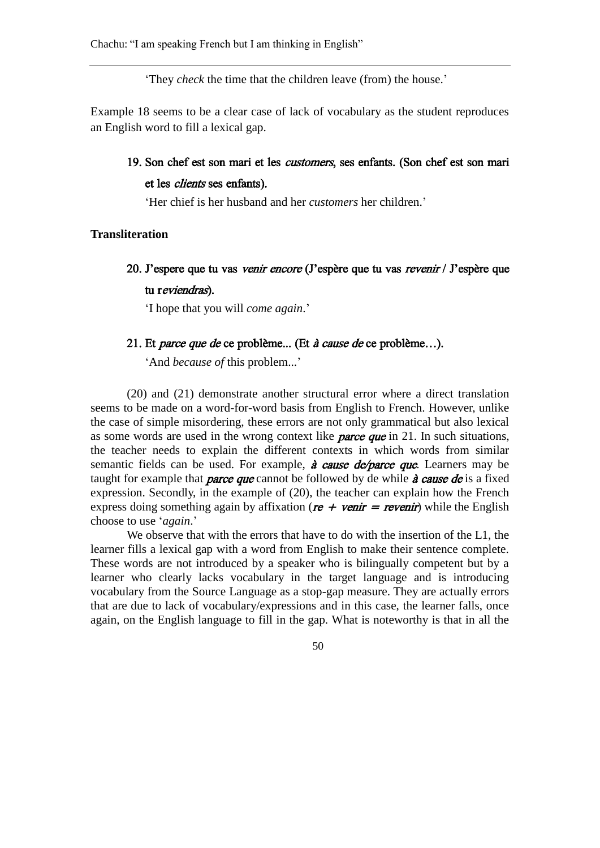'They *check* the time that the children leave (from) the house.'

Example 18 seems to be a clear case of lack of vocabulary as the student reproduces an English word to fill a lexical gap.

# 19. Son chef est son mari et les customers, ses enfants. (Son chef est son mari et les clients ses enfants).

'Her chief is her husband and her *customers* her children.'

#### **Transliteration**

20. J'espere que tu vas venir encore (J'espère que tu vas revenir / J'espère que tu reviendras).

'I hope that you will *come again*.'

21. Et parce que de ce problème... (Et à cause de ce problème…).

'And *because of* this problem...'

(20) and (21) demonstrate another structural error where a direct translation seems to be made on a word-for-word basis from English to French. However, unlike the case of simple misordering, these errors are not only grammatical but also lexical as some words are used in the wrong context like **parce que** in 21. In such situations, the teacher needs to explain the different contexts in which words from similar semantic fields can be used. For example,  $\hat{a}$  cause de/parce que. Learners may be taught for example that **parce que** cannot be followed by de while  $\hat{a}$  cause de is a fixed expression. Secondly, in the example of (20), the teacher can explain how the French express doing something again by affixation ( $re + venir = revenir$ ) while the English choose to use '*again*.'

We observe that with the errors that have to do with the insertion of the L1, the learner fills a lexical gap with a word from English to make their sentence complete. These words are not introduced by a speaker who is bilingually competent but by a learner who clearly lacks vocabulary in the target language and is introducing vocabulary from the Source Language as a stop-gap measure. They are actually errors that are due to lack of vocabulary/expressions and in this case, the learner falls, once again, on the English language to fill in the gap. What is noteworthy is that in all the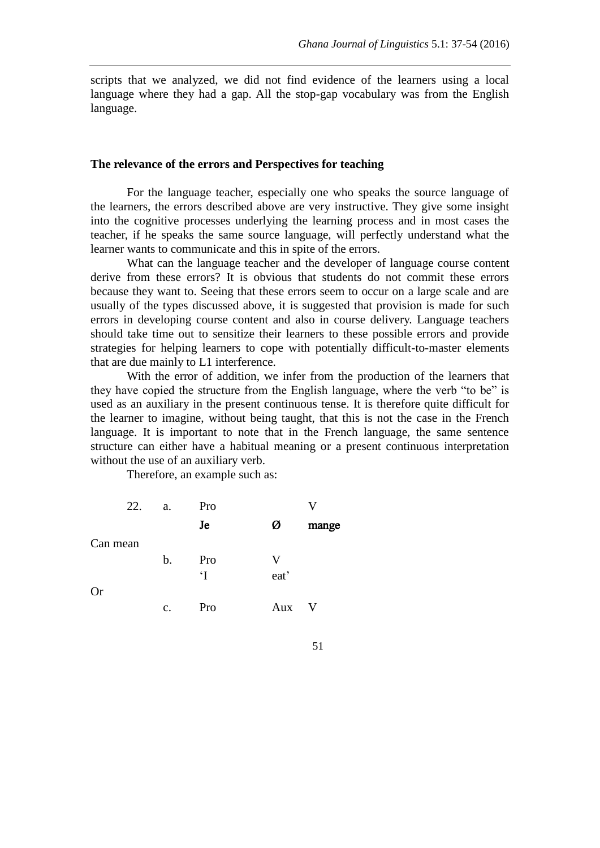scripts that we analyzed, we did not find evidence of the learners using a local language where they had a gap. All the stop-gap vocabulary was from the English language.

### **The relevance of the errors and Perspectives for teaching**

For the language teacher, especially one who speaks the source language of the learners, the errors described above are very instructive. They give some insight into the cognitive processes underlying the learning process and in most cases the teacher, if he speaks the same source language, will perfectly understand what the learner wants to communicate and this in spite of the errors.

What can the language teacher and the developer of language course content derive from these errors? It is obvious that students do not commit these errors because they want to. Seeing that these errors seem to occur on a large scale and are usually of the types discussed above, it is suggested that provision is made for such errors in developing course content and also in course delivery. Language teachers should take time out to sensitize their learners to these possible errors and provide strategies for helping learners to cope with potentially difficult-to-master elements that are due mainly to L1 interference.

With the error of addition, we infer from the production of the learners that they have copied the structure from the English language, where the verb "to be" is used as an auxiliary in the present continuous tense. It is therefore quite difficult for the learner to imagine, without being taught, that this is not the case in the French language. It is important to note that in the French language, the same sentence structure can either have a habitual meaning or a present continuous interpretation without the use of an auxiliary verb.

Therefore, an example such as:

|           | 22. | a.            | Pro                    |       | V     |
|-----------|-----|---------------|------------------------|-------|-------|
|           |     |               | Je                     | Ø     | mange |
| Can mean  |     |               |                        |       |       |
|           |     | b.            | Pro                    | V     |       |
|           |     |               | $\mathbf{I}^{\bullet}$ | eat'  |       |
| <b>Or</b> |     |               |                        |       |       |
|           |     | $C_{\bullet}$ | Pro                    | Aux V |       |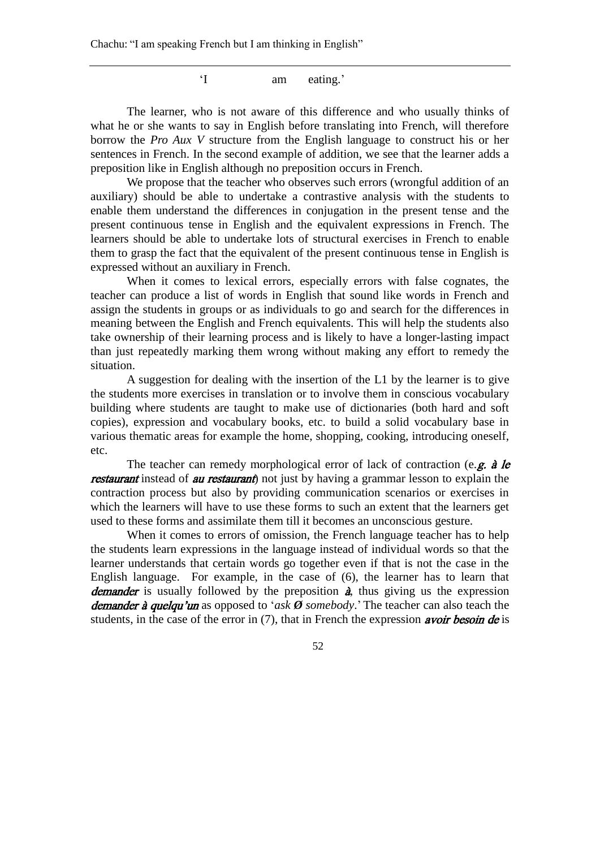'I am eating.'

The learner, who is not aware of this difference and who usually thinks of what he or she wants to say in English before translating into French, will therefore borrow the *Pro Aux V* structure from the English language to construct his or her sentences in French. In the second example of addition, we see that the learner adds a preposition like in English although no preposition occurs in French.

We propose that the teacher who observes such errors (wrongful addition of an auxiliary) should be able to undertake a contrastive analysis with the students to enable them understand the differences in conjugation in the present tense and the present continuous tense in English and the equivalent expressions in French. The learners should be able to undertake lots of structural exercises in French to enable them to grasp the fact that the equivalent of the present continuous tense in English is expressed without an auxiliary in French.

When it comes to lexical errors, especially errors with false cognates, the teacher can produce a list of words in English that sound like words in French and assign the students in groups or as individuals to go and search for the differences in meaning between the English and French equivalents. This will help the students also take ownership of their learning process and is likely to have a longer-lasting impact than just repeatedly marking them wrong without making any effort to remedy the situation.

A suggestion for dealing with the insertion of the L1 by the learner is to give the students more exercises in translation or to involve them in conscious vocabulary building where students are taught to make use of dictionaries (both hard and soft copies), expression and vocabulary books, etc. to build a solid vocabulary base in various thematic areas for example the home, shopping, cooking, introducing oneself, etc.

The teacher can remedy morphological error of lack of contraction (e.g.  $\hat{a}$  le restaurant instead of au restaurant) not just by having a grammar lesson to explain the contraction process but also by providing communication scenarios or exercises in which the learners will have to use these forms to such an extent that the learners get used to these forms and assimilate them till it becomes an unconscious gesture.

When it comes to errors of omission, the French language teacher has to help the students learn expressions in the language instead of individual words so that the learner understands that certain words go together even if that is not the case in the English language. For example, in the case of (6), the learner has to learn that demander is usually followed by the preposition  $\hat{a}$ , thus giving us the expression demander à quelqu'un as opposed to '*ask Ø somebody*.' The teacher can also teach the students, in the case of the error in  $(7)$ , that in French the expression **avoir besoin de** is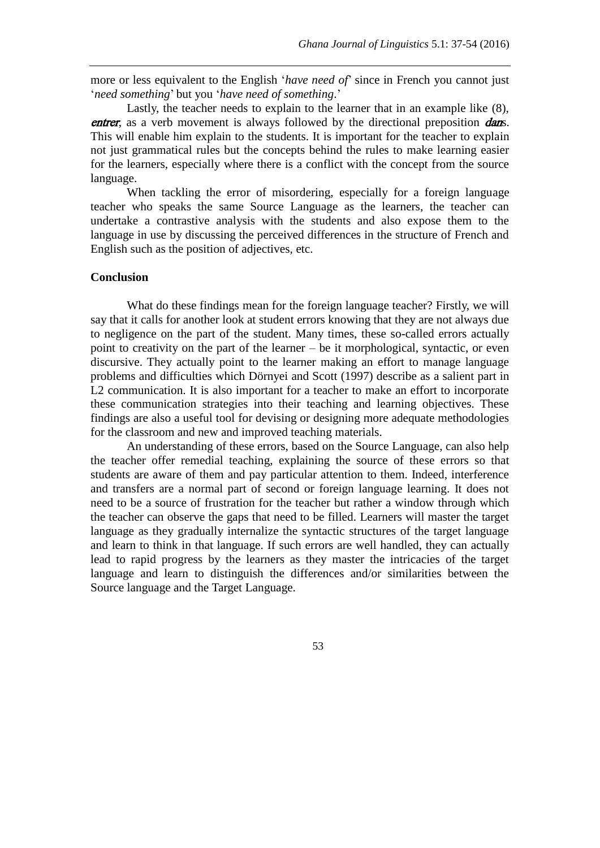more or less equivalent to the English '*have need of*' since in French you cannot just '*need something*' but you '*have need of something*.'

Lastly, the teacher needs to explain to the learner that in an example like (8), entrer, as a verb movement is always followed by the directional preposition dans. This will enable him explain to the students. It is important for the teacher to explain not just grammatical rules but the concepts behind the rules to make learning easier for the learners, especially where there is a conflict with the concept from the source language.

When tackling the error of misordering, especially for a foreign language teacher who speaks the same Source Language as the learners, the teacher can undertake a contrastive analysis with the students and also expose them to the language in use by discussing the perceived differences in the structure of French and English such as the position of adjectives, etc.

#### **Conclusion**

What do these findings mean for the foreign language teacher? Firstly, we will say that it calls for another look at student errors knowing that they are not always due to negligence on the part of the student. Many times, these so-called errors actually point to creativity on the part of the learner – be it morphological, syntactic, or even discursive. They actually point to the learner making an effort to manage language problems and difficulties which Dörnyei and Scott (1997) describe as a salient part in L<sub>2</sub> communication. It is also important for a teacher to make an effort to incorporate these communication strategies into their teaching and learning objectives. These findings are also a useful tool for devising or designing more adequate methodologies for the classroom and new and improved teaching materials.

An understanding of these errors, based on the Source Language, can also help the teacher offer remedial teaching, explaining the source of these errors so that students are aware of them and pay particular attention to them. Indeed, interference and transfers are a normal part of second or foreign language learning. It does not need to be a source of frustration for the teacher but rather a window through which the teacher can observe the gaps that need to be filled. Learners will master the target language as they gradually internalize the syntactic structures of the target language and learn to think in that language. If such errors are well handled, they can actually lead to rapid progress by the learners as they master the intricacies of the target language and learn to distinguish the differences and/or similarities between the Source language and the Target Language.